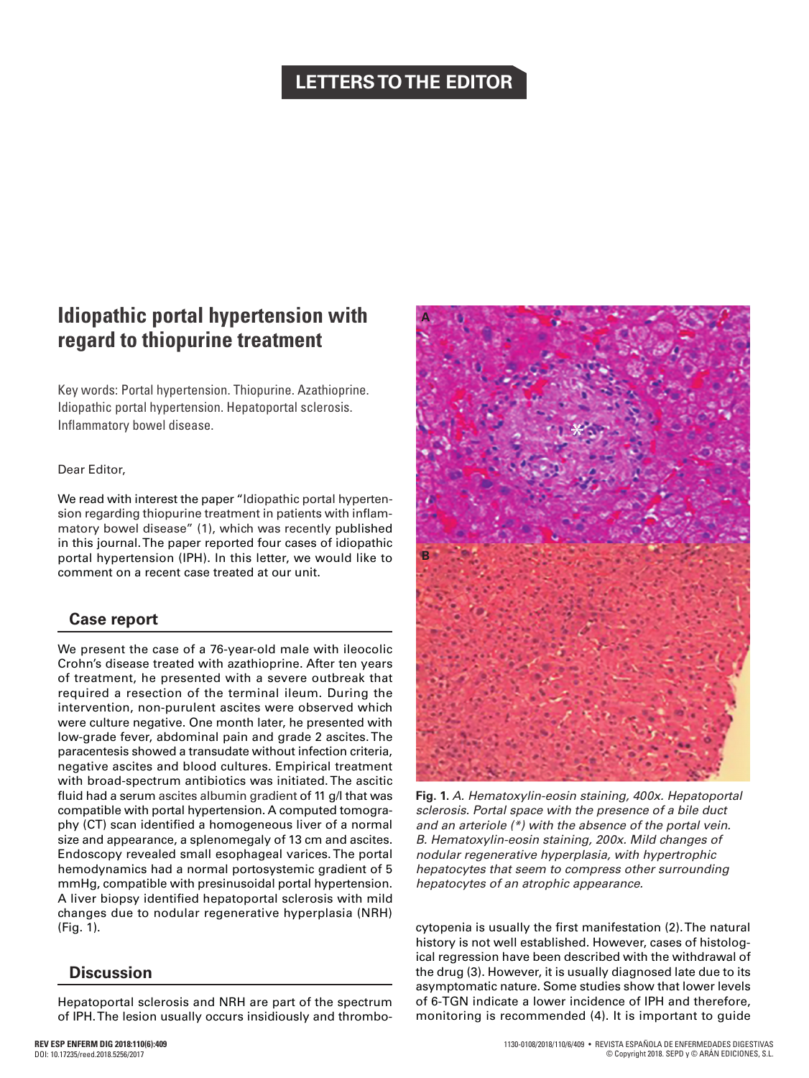## **LETTERS TO THE EDITOR**

# **Idiopathic portal hypertension with regard to thiopurine treatment**

Key words: Portal hypertension. Thiopurine. Azathioprine. Idiopathic portal hypertension. Hepatoportal sclerosis. Inflammatory bowel disease.

#### Dear Editor,

We read with interest the paper "Idiopathic portal hypertension regarding thiopurine treatment in patients with inflammatory bowel disease" (1), which was recently published in this journal. The paper reported four cases of idiopathic portal hypertension (IPH). In this letter, we would like to comment on a recent case treated at our unit.

## **Case report**

We present the case of a 76-year-old male with ileocolic Crohn's disease treated with azathioprine. After ten years of treatment, he presented with a severe outbreak that required a resection of the terminal ileum. During the intervention, non-purulent ascites were observed which were culture negative. One month later, he presented with low-grade fever, abdominal pain and grade 2 ascites. The paracentesis showed a transudate without infection criteria, negative ascites and blood cultures. Empirical treatment with broad-spectrum antibiotics was initiated. The ascitic fluid had a serum ascites albumin gradient of 11 g/l that was compatible with portal hypertension. A computed tomography (CT) scan identified a homogeneous liver of a normal size and appearance, a splenomegaly of 13 cm and ascites. Endoscopy revealed small esophageal varices. The portal hemodynamics had a normal portosystemic gradient of 5 mmHg, compatible with presinusoidal portal hypertension. A liver biopsy identified hepatoportal sclerosis with mild changes due to nodular regenerative hyperplasia (NRH) (Fig. 1).

## **Discussion**

Hepatoportal sclerosis and NRH are part of the spectrum of IPH. The lesion usually occurs insidiously and thrombo-





**Fig. 1.** *A. Hematoxylin-eosin staining, 400x. Hepatoportal sclerosis. Portal space with the presence of a bile duct and an arteriole (\*) with the absence of the portal vein. B. Hematoxylin-eosin staining, 200x. Mild changes of nodular regenerative hyperplasia, with hypertrophic hepatocytes that seem to compress other surrounding hepatocytes of an atrophic appearance.*

cytopenia is usually the first manifestation (2). The natural history is not well established. However, cases of histological regression have been described with the withdrawal of the drug (3). However, it is usually diagnosed late due to its asymptomatic nature. Some studies show that lower levels of 6-TGN indicate a lower incidence of IPH and therefore, monitoring is recommended (4). It is important to guide